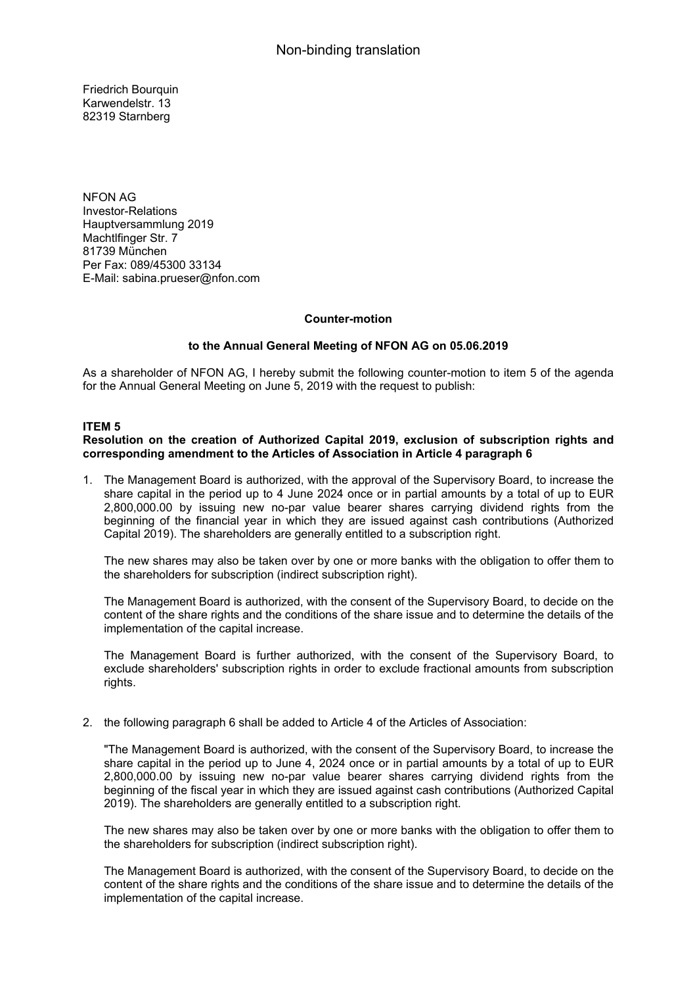Friedrich Bourquin Karwendelstr. 13 82319 Starnberg

NFON AG Investor-Relations Hauptversammlung 2019 Machtlfinger Str. 7 81739 München Per Fax: 089/45300 33134 E-Mail: sabina.prueser@nfon.com

#### **Counter-motion**

## **to the Annual General Meeting of NFON AG on 05.06.2019**

As a shareholder of NFON AG, I hereby submit the following counter-motion to item 5 of the agenda for the Annual General Meeting on June 5, 2019 with the request to publish:

#### **ITEM 5**

### **Resolution on the creation of Authorized Capital 2019, exclusion of subscription rights and corresponding amendment to the Articles of Association in Article 4 paragraph 6**

1. The Management Board is authorized, with the approval of the Supervisory Board, to increase the share capital in the period up to 4 June 2024 once or in partial amounts by a total of up to EUR 2,800,000.00 by issuing new no-par value bearer shares carrying dividend rights from the beginning of the financial year in which they are issued against cash contributions (Authorized Capital 2019). The shareholders are generally entitled to a subscription right.

The new shares may also be taken over by one or more banks with the obligation to offer them to the shareholders for subscription (indirect subscription right).

The Management Board is authorized, with the consent of the Supervisory Board, to decide on the content of the share rights and the conditions of the share issue and to determine the details of the implementation of the capital increase.

The Management Board is further authorized, with the consent of the Supervisory Board, to exclude shareholders' subscription rights in order to exclude fractional amounts from subscription rights.

2. the following paragraph 6 shall be added to Article 4 of the Articles of Association:

"The Management Board is authorized, with the consent of the Supervisory Board, to increase the share capital in the period up to June 4, 2024 once or in partial amounts by a total of up to EUR 2,800,000.00 by issuing new no-par value bearer shares carrying dividend rights from the beginning of the fiscal year in which they are issued against cash contributions (Authorized Capital 2019). The shareholders are generally entitled to a subscription right.

The new shares may also be taken over by one or more banks with the obligation to offer them to the shareholders for subscription (indirect subscription right).

The Management Board is authorized, with the consent of the Supervisory Board, to decide on the content of the share rights and the conditions of the share issue and to determine the details of the implementation of the capital increase.